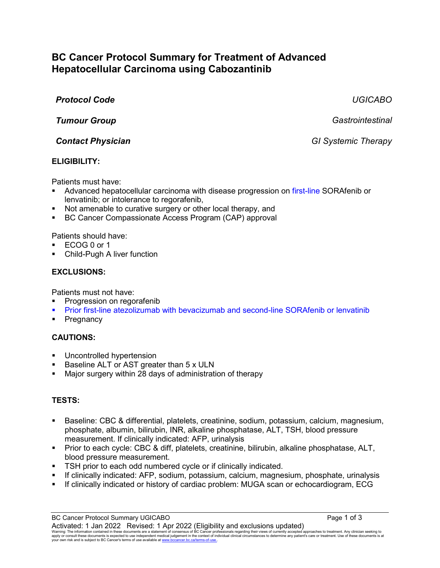# **BC Cancer Protocol Summary for Treatment of Advanced Hepatocellular Carcinoma using Cabozantinib**

# *Protocol Code UGICABO*

*Tumour Group Gastrointestinal*

*Contact Physician GI Systemic Therapy*

## **ELIGIBILITY:**

Patients must have:

- Advanced hepatocellular carcinoma with disease progression on first-line SORAfenib or lenvatinib; or intolerance to regorafenib,
- Not amenable to curative surgery or other local therapy, and
- BC Cancer Compassionate Access Program (CAP) approval

### Patients should have:

- ECOG 0 or 1
- Child-Pugh A liver function

## **EXCLUSIONS:**

Patients must not have:

- Progression on regorafenib
- Prior first-line atezolizumab with bevacizumab and second-line SORAfenib or lenvatinib
- **Pregnancy**

### **CAUTIONS:**

- Uncontrolled hypertension
- Baseline ALT or AST greater than 5 x ULN
- Major surgery within 28 days of administration of therapy

# **TESTS:**

- Baseline: CBC & differential, platelets, creatinine, sodium, potassium, calcium, magnesium, phosphate, albumin, bilirubin, INR, alkaline phosphatase, ALT, TSH, blood pressure measurement. If clinically indicated: AFP, urinalysis
- Prior to each cycle: CBC & diff, platelets, creatinine, bilirubin, alkaline phosphatase, ALT, blood pressure measurement.
- **TSH** prior to each odd numbered cycle or if clinically indicated.
- If clinically indicated: AFP, sodium, potassium, calcium, magnesium, phosphate, urinalysis
- If clinically indicated or history of cardiac problem: MUGA scan or echocardiogram, ECG

BC Cancer Protocol Summary UGICABO **Page 1 of 3** Page 1 of 3 Activated: 1 Jan 2022 Revised: 1 Apr 2022 (Eligibility and exclusions updated) Warning: The information contained in these documents are a statement of consensus of BC Cancer professionals regarding their views of currently accepted approaches to treatment. Any clinician seeking to<br>apply or consult t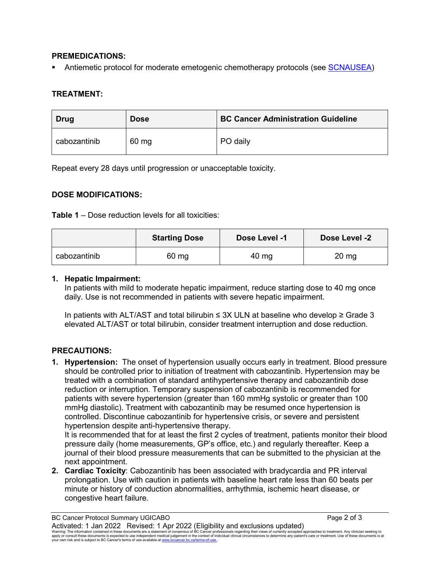### **PREMEDICATIONS:**

Antiemetic protocol for moderate emetogenic chemotherapy protocols (see [SCNAUSEA\)](http://www.bccancer.bc.ca/HPI/ChemotherapyProtocols/SupportiveCare/SCNAUSEA.htm)

### **TREATMENT:**

| Drug         | <b>Dose</b> | <b>BC Cancer Administration Guideline</b> |  |
|--------------|-------------|-------------------------------------------|--|
| cabozantinib | 60 mg       | PO daily                                  |  |

Repeat every 28 days until progression or unacceptable toxicity.

### **DOSE MODIFICATIONS:**

**Table 1** – Dose reduction levels for all toxicities:

|              | <b>Starting Dose</b> | Dose Level -1 | Dose Level -2    |
|--------------|----------------------|---------------|------------------|
| cabozantinib | 60 mg                | 40 mg         | $20 \mathrm{mg}$ |

#### **1. Hepatic Impairment:**

In patients with mild to moderate hepatic impairment, reduce starting dose to 40 mg once daily. Use is not recommended in patients with severe hepatic impairment.

In patients with ALT/AST and total bilirubin ≤ 3X ULN at baseline who develop ≥ Grade 3 elevated ALT/AST or total bilirubin, consider treatment interruption and dose reduction.

### **PRECAUTIONS:**

**1. Hypertension:** The onset of hypertension usually occurs early in treatment. Blood pressure should be controlled prior to initiation of treatment with cabozantinib. Hypertension may be treated with a combination of standard antihypertensive therapy and cabozantinib dose reduction or interruption. Temporary suspension of cabozantinib is recommended for patients with severe hypertension (greater than 160 mmHg systolic or greater than 100 mmHg diastolic). Treatment with cabozantinib may be resumed once hypertension is controlled. Discontinue cabozantinib for hypertensive crisis, or severe and persistent hypertension despite anti-hypertensive therapy.

It is recommended that for at least the first 2 cycles of treatment, patients monitor their blood pressure daily (home measurements, GP's office, etc.) and regularly thereafter. Keep a journal of their blood pressure measurements that can be submitted to the physician at the next appointment.

**2. Cardiac Toxicity**: Cabozantinib has been associated with bradycardia and PR interval prolongation. Use with caution in patients with baseline heart rate less than 60 beats per minute or history of conduction abnormalities, arrhythmia, ischemic heart disease, or congestive heart failure.

BC Cancer Protocol Summary UGICABO **Page 2 of 3** and 2 of 3 Activated: 1 Jan 2022 Revised: 1 Apr 2022 (Eligibility and exclusions updated) Warning: The information contained in these documents are a statement of consensus of BC Cancer professionals regarding their views of currently accepted approaches to treatment. Any clinician seeking to<br>apply or consult t